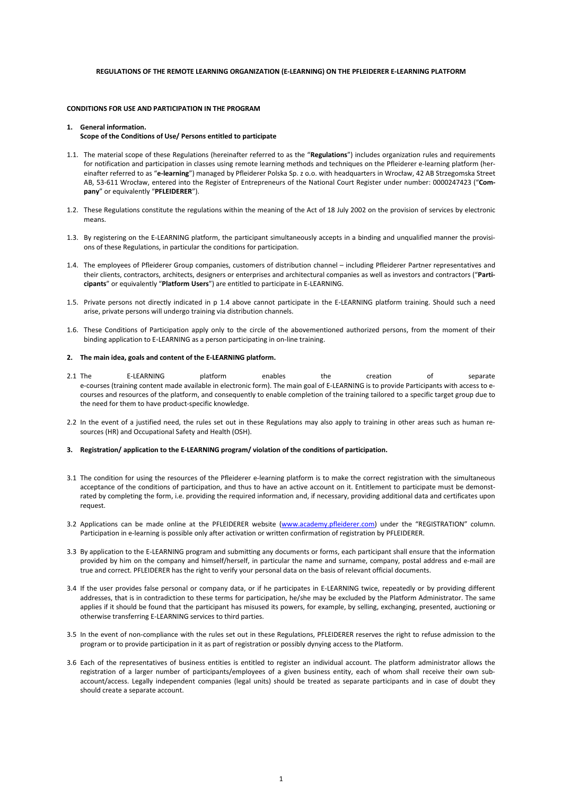## **REGULATIONS OF THE REMOTE LEARNING ORGANIZATION (E-LEARNING) ON THE PFLEIDERER E-LEARNING PLATFORM**

# **CONDITIONS FOR USE AND PARTICIPATION IN THE PROGRAM**

### **1. General information. Scope of the Conditions of Use/ Persons entitled to participate**

- 1.1. The material scope of these Regulations (hereinafter referred to as the "**Regulations**") includes organization rules and requirements for notification and participation in classes using remote learning methods and techniques on the Pfleiderer e-learning platform (hereinafter referred to as "**e-learning**") managed by Pfleiderer Polska Sp. z o.o. with headquarters in Wrocław, 42 AB Strzegomska Street AB, 53-611 Wrocław, entered into the Register of Entrepreneurs of the National Court Register under number: 0000247423 ("**Company**" or equivalently "**PFLEIDERER**").
- 1.2. These Regulations constitute the regulations within the meaning of the Act of 18 July 2002 on the provision of services by electronic means.
- 1.3. By registering on the E-LEARNING platform, the participant simultaneously accepts in a binding and unqualified manner the provisions of these Regulations, in particular the conditions for participation.
- 1.4. The employees of Pfleiderer Group companies, customers of distribution channel including Pfleiderer Partner representatives and their clients, contractors, architects, designers or enterprises and architectural companies as well as investors and contractors ("**Participants**" or equivalently "**Platform Users**") are entitled to participate in E-LEARNING.
- 1.5. Private persons not directly indicated in p 1.4 above cannot participate in the E-LEARNING platform training. Should such a need arise, private persons will undergo training via distribution channels.
- 1.6. These Conditions of Participation apply only to the circle of the abovementioned authorized persons, from the moment of their binding application to E-LEARNING as a person participating in on-line training.

### **2. The main idea, goals and content of the E-LEARNING platform.**

- 2.1 The E-LEARNING platform enables the creation of separate e-courses (training content made available in electronic form). The main goal of E-LEARNING is to provide Participants with access to ecourses and resources of the platform, and consequently to enable completion of the training tailored to a specific target group due to the need for them to have product-specific knowledge.
- 2.2 In the event of a justified need, the rules set out in these Regulations may also apply to training in other areas such as human resources (HR) and Occupational Safety and Health (OSH).

### **3. Registration/ application to the E-LEARNING program/ violation of the conditions of participation.**

- 3.1 The condition for using the resources of the Pfleiderer e-learning platform is to make the correct registration with the simultaneous acceptance of the conditions of participation, and thus to have an active account on it. Entitlement to participate must be demonstrated by completing the form, i.e. providing the required information and, if necessary, providing additional data and certificates upon request.
- 3.2 Applications can be made online at the PFLEIDERER website (www.academy.pfleiderer.com) under the "REGISTRATION" column. Participation in e-learning is possible only after activation or written confirmation of registration by PFLEIDERER.
- 3.3 By application to the E-LEARNING program and submitting any documents or forms, each participant shall ensure that the information provided by him on the company and himself/herself, in particular the name and surname, company, postal address and e-mail are true and correct. PFLEIDERER has the right to verify your personal data on the basis of relevant official documents.
- 3.4 If the user provides false personal or company data, or if he participates in E-LEARNING twice, repeatedly or by providing different addresses, that is in contradiction to these terms for participation, he/she may be excluded by the Platform Administrator. The same applies if it should be found that the participant has misused its powers, for example, by selling, exchanging, presented, auctioning or otherwise transferring E-LEARNING services to third parties.
- 3.5 In the event of non-compliance with the rules set out in these Regulations, PFLEIDERER reserves the right to refuse admission to the program or to provide participation in it as part of registration or possibly dynying access to the Platform.
- 3.6 Each of the representatives of business entities is entitled to register an individual account. The platform administrator allows the registration of a larger number of participants/employees of a given business entity, each of whom shall receive their own subaccount/access. Legally independent companies (legal units) should be treated as separate participants and in case of doubt they should create a separate account.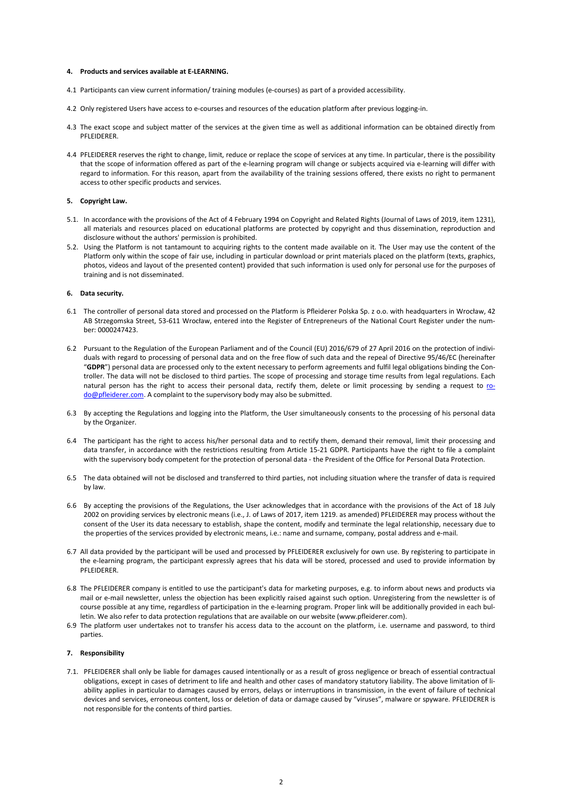## **4. Products and services available at E-LEARNING.**

- 4.1 Participants can view current information/ training modules (e-courses) as part of a provided accessibility.
- 4.2 Only registered Users have access to e-courses and resources of the education platform after previous logging-in.
- 4.3 The exact scope and subject matter of the services at the given time as well as additional information can be obtained directly from PFLEIDERER.
- 4.4 PFLEIDERER reserves the right to change, limit, reduce or replace the scope of services at any time. In particular, there is the possibility that the scope of information offered as part of the e-learning program will change or subjects acquired via e-learning will differ with regard to information. For this reason, apart from the availability of the training sessions offered, there exists no right to permanent access to other specific products and services.

## **5. Copyright Law.**

- 5.1. In accordance with the provisions of the Act of 4 February 1994 on Copyright and Related Rights (Journal of Laws of 2019, item 1231), all materials and resources placed on educational platforms are protected by copyright and thus dissemination, reproduction and disclosure without the authors' permission is prohibited.
- 5.2. Using the Platform is not tantamount to acquiring rights to the content made available on it. The User may use the content of the Platform only within the scope of fair use, including in particular download or print materials placed on the platform (texts, graphics, photos, videos and layout of the presented content) provided that such information is used only for personal use for the purposes of training and is not disseminated.

#### **6. Data security.**

- 6.1 The controller of personal data stored and processed on the Platform is Pfleiderer Polska Sp. z o.o. with headquarters in Wrocław, 42 AB Strzegomska Street, 53-611 Wrocław, entered into the Register of Entrepreneurs of the National Court Register under the number: 0000247423.
- 6.2 Pursuant to the Regulation of the European Parliament and of the Council (EU) 2016/679 of 27 April 2016 on the protection of individuals with regard to processing of personal data and on the free flow of such data and the repeal of Directive 95/46/EC (hereinafter "**GDPR**") personal data are processed only to the extent necessary to perform agreements and fulfil legal obligations binding the Controller. The data will not be disclosed to third parties. The scope of processing and storage time results from legal regulations. Each natural person has the right to access their personal data, rectify them, delete or limit processing by sending a request to rodo@pfleiderer.com. A complaint to the supervisory body may also be submitted.
- 6.3 By accepting the Regulations and logging into the Platform, the User simultaneously consents to the processing of his personal data by the Organizer.
- 6.4 The participant has the right to access his/her personal data and to rectify them, demand their removal, limit their processing and data transfer, in accordance with the restrictions resulting from Article 15-21 GDPR. Participants have the right to file a complaint with the supervisory body competent for the protection of personal data - the President of the Office for Personal Data Protection.
- 6.5 The data obtained will not be disclosed and transferred to third parties, not including situation where the transfer of data is required by law.
- 6.6 By accepting the provisions of the Regulations, the User acknowledges that in accordance with the provisions of the Act of 18 July 2002 on providing services by electronic means (i.e., J. of Laws of 2017, item 1219. as amended) PFLEIDERER may process without the consent of the User its data necessary to establish, shape the content, modify and terminate the legal relationship, necessary due to the properties of the services provided by electronic means, i.e.: name and surname, company, postal address and e-mail.
- 6.7 All data provided by the participant will be used and processed by PFLEIDERER exclusively for own use. By registering to participate in the e-learning program, the participant expressly agrees that his data will be stored, processed and used to provide information by PFLEIDERER.
- 6.8 The PFLEIDERER company is entitled to use the participant's data for marketing purposes, e.g. to inform about news and products via mail or e-mail newsletter, unless the objection has been explicitly raised against such option. Unregistering from the newsletter is of course possible at any time, regardless of participation in the e-learning program. Proper link will be additionally provided in each bulletin. We also refer to data protection regulations that are available on our website (www.pfleiderer.com).
- 6.9 The platform user undertakes not to transfer his access data to the account on the platform, i.e. username and password, to third parties.

# **7. Responsibility**

7.1. PFLEIDERER shall only be liable for damages caused intentionally or as a result of gross negligence or breach of essential contractual obligations, except in cases of detriment to life and health and other cases of mandatory statutory liability. The above limitation of liability applies in particular to damages caused by errors, delays or interruptions in transmission, in the event of failure of technical devices and services, erroneous content, loss or deletion of data or damage caused by "viruses", malware or spyware. PFLEIDERER is not responsible for the contents of third parties.